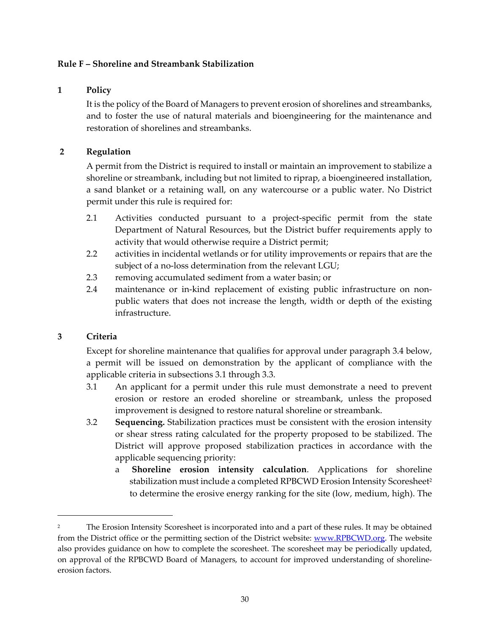## **Rule F – Shoreline and Streambank Stabilization**

#### **1 Policy**

It is the policy of the Board of Managers to prevent erosion of shorelines and streambanks, and to foster the use of natural materials and bioengineering for the maintenance and restoration of shorelines and streambanks.

#### **2 Regulation**

A permit from the District is required to install or maintain an improvement to stabilize a shoreline or streambank, including but not limited to riprap, a bioengineered installation, a sand blanket or a retaining wall, on any watercourse or a public water. No District permit under this rule is required for:

- 2.1 Activities conducted pursuant to a project-specific permit from the state Department of Natural Resources, but the District buffer requirements apply to activity that would otherwise require a District permit;
- 2.2 activities in incidental wetlands or for utility improvements or repairs that are the subject of a no-loss determination from the relevant LGU;
- 2.3 removing accumulated sediment from a water basin; or
- 2.4 maintenance or in-kind replacement of existing public infrastructure on nonpublic waters that does not increase the length, width or depth of the existing infrastructure.

## **3 Criteria**

Except for shoreline maintenance that qualifies for approval under paragraph 3.4 below, a permit will be issued on demonstration by the applicant of compliance with the applicable criteria in subsections 3.1 through 3.3.

- 3.1 An applicant for a permit under this rule must demonstrate a need to prevent erosion or restore an eroded shoreline or streambank, unless the proposed improvement is designed to restore natural shoreline or streambank.
- 3.2 **Sequencing.** Stabilization practices must be consistent with the erosion intensity or shear stress rating calculated for the property proposed to be stabilized. The District will approve proposed stabilization practices in accordance with the applicable sequencing priority:
	- a **Shoreline erosion intensity calculation**. Applications for shoreline stabilization must include a completed RPBCWD Erosion Intensity Scoresheet<sup>2</sup> to determine the erosive energy ranking for the site (low, medium, high). The

<sup>&</sup>lt;sup>2</sup> The Erosion Intensity Scoresheet is incorporated into and a part of these rules. It may be obtained from the District office or the permitting section of the District website: www.RPBCWD.org. The website also provides guidance on how to complete the scoresheet. The scoresheet may be periodically updated, on approval of the RPBCWD Board of Managers, to account for improved understanding of shoreline‐ erosion factors.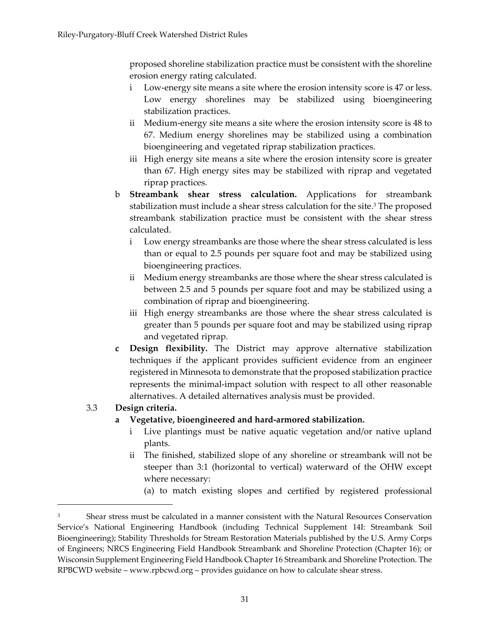proposed shoreline stabilization practice must be consistent with the shoreline erosion energy rating calculated.

- i Low‐energy site means a site where the erosion intensity score is 47 or less. Low energy shorelines may be stabilized using bioengineering stabilization practices.
- ii Medium‐energy site means a site where the erosion intensity score is 48 to 67. Medium energy shorelines may be stabilized using a combination bioengineering and vegetated riprap stabilization practices.
- iii High energy site means a site where the erosion intensity score is greater than 67. High energy sites may be stabilized with riprap and vegetated riprap practices.
- b **Streambank shear stress calculation.** Applications for streambank stabilization must include a shear stress calculation for the site.<sup>3</sup> The proposed streambank stabilization practice must be consistent with the shear stress calculated.
	- i Low energy streambanks are those where the shear stress calculated is less than or equal to 2.5 pounds per square foot and may be stabilized using bioengineering practices.
	- ii Medium energy streambanks are those where the shear stress calculated is between 2.5 and 5 pounds per square foot and may be stabilized using a combination of riprap and bioengineering.
	- iii High energy streambanks are those where the shear stress calculated is greater than 5 pounds per square foot and may be stabilized using riprap and vegetated riprap.
- **c Design flexibility.** The District may approve alternative stabilization techniques if the applicant provides sufficient evidence from an engineer registered in Minnesota to demonstrate that the proposed stabilization practice represents the minimal‐impact solution with respect to all other reasonable alternatives. A detailed alternatives analysis must be provided.

# 3.3 **Design criteria.**

## **a Vegetative, bioengineered and hard‐armored stabilization.**

- i Live plantings must be native aquatic vegetation and/or native upland plants.
- ii The finished, stabilized slope of any shoreline or streambank will not be steeper than 3:1 (horizontal to vertical) waterward of the OHW except where necessary:
	- (a) to match existing slopes and certified by registered professional

<sup>3</sup> Shear stress must be calculated in a manner consistent with the Natural Resources Conservation Service's National Engineering Handbook (including Technical Supplement 14I: Streambank Soil Bioengineering); Stability Thresholds for Stream Restoration Materials published by the U.S. Army Corps of Engineers; NRCS Engineering Field Handbook Streambank and Shoreline Protection (Chapter 16); or Wisconsin Supplement Engineering Field Handbook Chapter 16 Streambank and Shoreline Protection. The RPBCWD website – www.rpbcwd.org – provides guidance on how to calculate shear stress.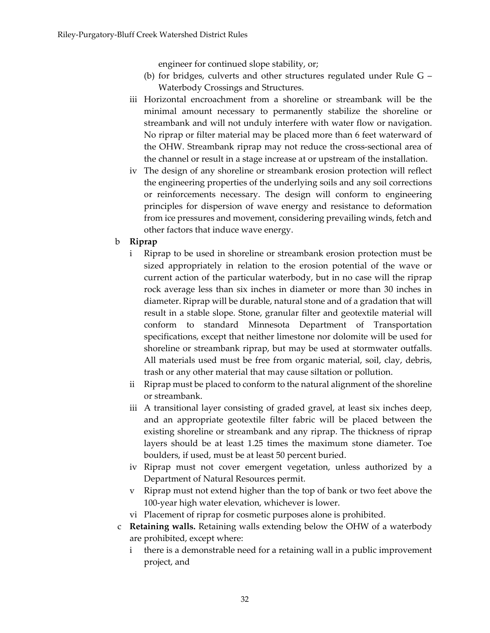engineer for continued slope stability, or;

- (b) for bridges, culverts and other structures regulated under Rule G Waterbody Crossings and Structures.
- iii Horizontal encroachment from a shoreline or streambank will be the minimal amount necessary to permanently stabilize the shoreline or streambank and will not unduly interfere with water flow or navigation. No riprap or filter material may be placed more than 6 feet waterward of the OHW. Streambank riprap may not reduce the cross‐sectional area of the channel or result in a stage increase at or upstream of the installation.
- iv The design of any shoreline or streambank erosion protection will reflect the engineering properties of the underlying soils and any soil corrections or reinforcements necessary. The design will conform to engineering principles for dispersion of wave energy and resistance to deformation from ice pressures and movement, considering prevailing winds, fetch and other factors that induce wave energy.
- b **Riprap**
	- i Riprap to be used in shoreline or streambank erosion protection must be sized appropriately in relation to the erosion potential of the wave or current action of the particular waterbody, but in no case will the riprap rock average less than six inches in diameter or more than 30 inches in diameter. Riprap will be durable, natural stone and of a gradation that will result in a stable slope. Stone, granular filter and geotextile material will conform to standard Minnesota Department of Transportation specifications, except that neither limestone nor dolomite will be used for shoreline or streambank riprap, but may be used at stormwater outfalls. All materials used must be free from organic material, soil, clay, debris, trash or any other material that may cause siltation or pollution.
	- ii Riprap must be placed to conform to the natural alignment of the shoreline or streambank.
	- iii A transitional layer consisting of graded gravel, at least six inches deep, and an appropriate geotextile filter fabric will be placed between the existing shoreline or streambank and any riprap. The thickness of riprap layers should be at least 1.25 times the maximum stone diameter. Toe boulders, if used, must be at least 50 percent buried.
	- iv Riprap must not cover emergent vegetation, unless authorized by a Department of Natural Resources permit.
	- v Riprap must not extend higher than the top of bank or two feet above the 100‐year high water elevation, whichever is lower.
	- vi Placement of riprap for cosmetic purposes alone is prohibited.
- c **Retaining walls.** Retaining walls extending below the OHW of a waterbody are prohibited, except where:
	- there is a demonstrable need for a retaining wall in a public improvement project, and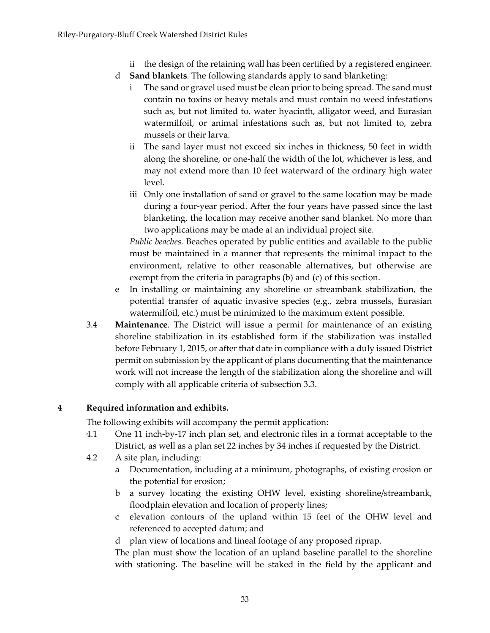- ii the design of the retaining wall has been certified by a registered engineer.
- d **Sand blankets**. The following standards apply to sand blanketing:
	- i The sand or gravel used must be clean prior to being spread. The sand must contain no toxins or heavy metals and must contain no weed infestations such as, but not limited to, water hyacinth, alligator weed, and Eurasian watermilfoil, or animal infestations such as, but not limited to, zebra mussels or their larva.
	- ii The sand layer must not exceed six inches in thickness, 50 feet in width along the shoreline, or one‐half the width of the lot, whichever is less, and may not extend more than 10 feet waterward of the ordinary high water level.
	- iii Only one installation of sand or gravel to the same location may be made during a four‐year period. After the four years have passed since the last blanketing, the location may receive another sand blanket. No more than two applications may be made at an individual project site.

*Public beaches.* Beaches operated by public entities and available to the public must be maintained in a manner that represents the minimal impact to the environment, relative to other reasonable alternatives, but otherwise are exempt from the criteria in paragraphs (b) and (c) of this section.

- e In installing or maintaining any shoreline or streambank stabilization, the potential transfer of aquatic invasive species (e.g., zebra mussels, Eurasian watermilfoil, etc.) must be minimized to the maximum extent possible.
- 3.4 **Maintenance**. The District will issue a permit for maintenance of an existing shoreline stabilization in its established form if the stabilization was installed before February 1, 2015, or after that date in compliance with a duly issued District permit on submission by the applicant of plans documenting that the maintenance work will not increase the length of the stabilization along the shoreline and will comply with all applicable criteria of subsection 3.3.

## **4 Required information and exhibits.**

The following exhibits will accompany the permit application:

- 4.1 One 11 inch-by-17 inch plan set, and electronic files in a format acceptable to the District, as well as a plan set 22 inches by 34 inches if requested by the District.
- 4.2 A site plan, including:
	- a Documentation, including at a minimum, photographs, of existing erosion or the potential for erosion;
	- b a survey locating the existing OHW level, existing shoreline/streambank, floodplain elevation and location of property lines;
	- c elevation contours of the upland within 15 feet of the OHW level and referenced to accepted datum; and
	- d plan view of locations and lineal footage of any proposed riprap.

The plan must show the location of an upland baseline parallel to the shoreline with stationing. The baseline will be staked in the field by the applicant and